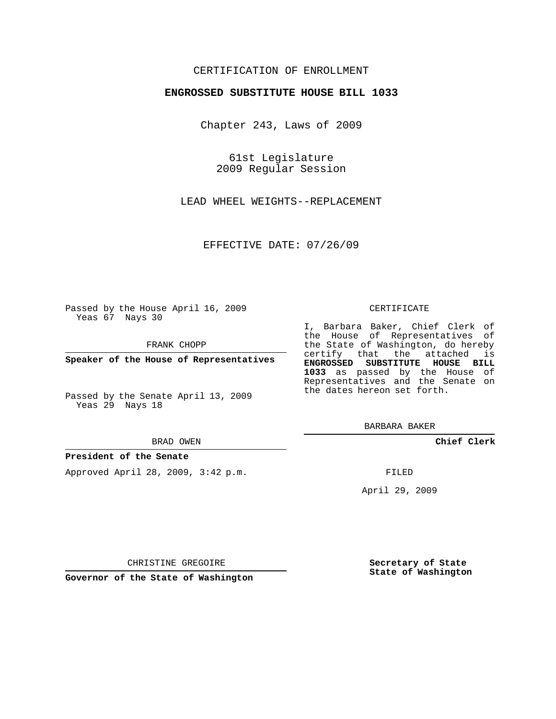# CERTIFICATION OF ENROLLMENT

## **ENGROSSED SUBSTITUTE HOUSE BILL 1033**

Chapter 243, Laws of 2009

61st Legislature 2009 Regular Session

LEAD WHEEL WEIGHTS--REPLACEMENT

EFFECTIVE DATE: 07/26/09

Passed by the House April 16, 2009 Yeas 67 Nays 30

FRANK CHOPP

**Speaker of the House of Representatives**

Passed by the Senate April 13, 2009 Yeas 29 Nays 18

#### BRAD OWEN

### **President of the Senate**

Approved April 28, 2009, 3:42 p.m.

#### CERTIFICATE

I, Barbara Baker, Chief Clerk of the House of Representatives of the State of Washington, do hereby certify that the attached is **ENGROSSED SUBSTITUTE HOUSE BILL 1033** as passed by the House of Representatives and the Senate on the dates hereon set forth.

BARBARA BAKER

**Chief Clerk**

FILED

April 29, 2009

CHRISTINE GREGOIRE

**Governor of the State of Washington**

**Secretary of State State of Washington**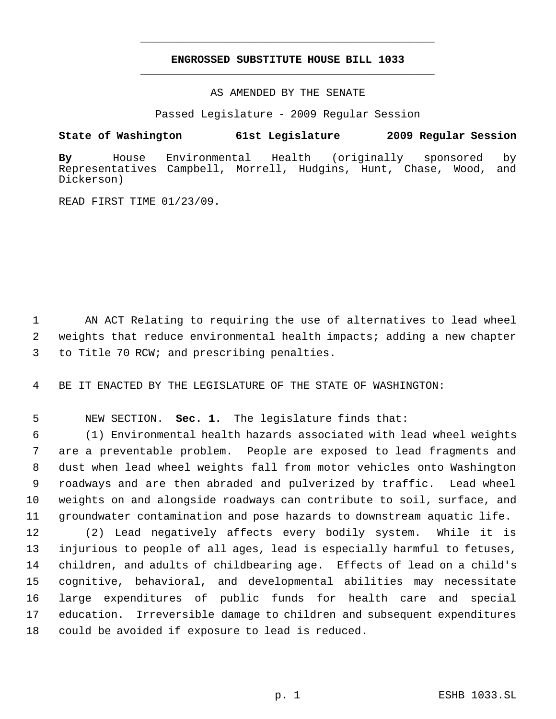# **ENGROSSED SUBSTITUTE HOUSE BILL 1033** \_\_\_\_\_\_\_\_\_\_\_\_\_\_\_\_\_\_\_\_\_\_\_\_\_\_\_\_\_\_\_\_\_\_\_\_\_\_\_\_\_\_\_\_\_

\_\_\_\_\_\_\_\_\_\_\_\_\_\_\_\_\_\_\_\_\_\_\_\_\_\_\_\_\_\_\_\_\_\_\_\_\_\_\_\_\_\_\_\_\_

AS AMENDED BY THE SENATE

Passed Legislature - 2009 Regular Session

**State of Washington 61st Legislature 2009 Regular Session**

**By** House Environmental Health (originally sponsored by Representatives Campbell, Morrell, Hudgins, Hunt, Chase, Wood, and Dickerson)

READ FIRST TIME 01/23/09.

 AN ACT Relating to requiring the use of alternatives to lead wheel weights that reduce environmental health impacts; adding a new chapter to Title 70 RCW; and prescribing penalties.

BE IT ENACTED BY THE LEGISLATURE OF THE STATE OF WASHINGTON:

NEW SECTION. **Sec. 1.** The legislature finds that:

 (1) Environmental health hazards associated with lead wheel weights are a preventable problem. People are exposed to lead fragments and dust when lead wheel weights fall from motor vehicles onto Washington roadways and are then abraded and pulverized by traffic. Lead wheel weights on and alongside roadways can contribute to soil, surface, and groundwater contamination and pose hazards to downstream aquatic life.

 (2) Lead negatively affects every bodily system. While it is injurious to people of all ages, lead is especially harmful to fetuses, children, and adults of childbearing age. Effects of lead on a child's cognitive, behavioral, and developmental abilities may necessitate large expenditures of public funds for health care and special education. Irreversible damage to children and subsequent expenditures could be avoided if exposure to lead is reduced.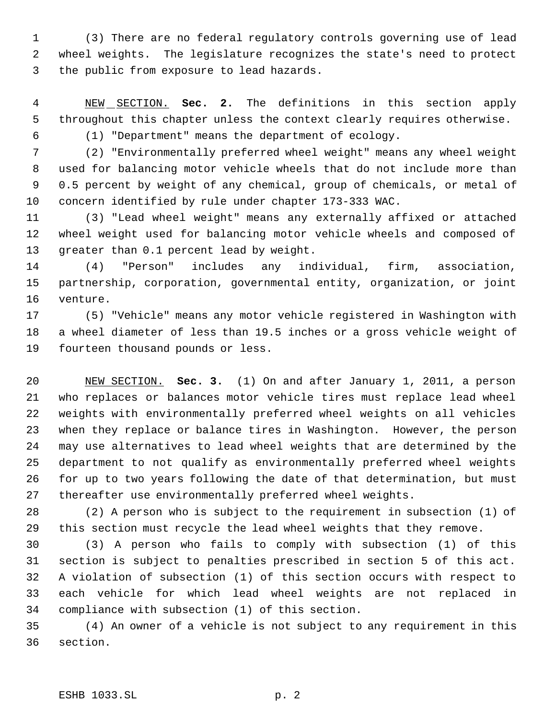(3) There are no federal regulatory controls governing use of lead wheel weights. The legislature recognizes the state's need to protect the public from exposure to lead hazards.

 NEW SECTION. **Sec. 2.** The definitions in this section apply throughout this chapter unless the context clearly requires otherwise.

(1) "Department" means the department of ecology.

 (2) "Environmentally preferred wheel weight" means any wheel weight used for balancing motor vehicle wheels that do not include more than 0.5 percent by weight of any chemical, group of chemicals, or metal of concern identified by rule under chapter 173-333 WAC.

 (3) "Lead wheel weight" means any externally affixed or attached wheel weight used for balancing motor vehicle wheels and composed of greater than 0.1 percent lead by weight.

 (4) "Person" includes any individual, firm, association, partnership, corporation, governmental entity, organization, or joint venture.

 (5) "Vehicle" means any motor vehicle registered in Washington with a wheel diameter of less than 19.5 inches or a gross vehicle weight of fourteen thousand pounds or less.

 NEW SECTION. **Sec. 3.** (1) On and after January 1, 2011, a person who replaces or balances motor vehicle tires must replace lead wheel weights with environmentally preferred wheel weights on all vehicles when they replace or balance tires in Washington. However, the person may use alternatives to lead wheel weights that are determined by the department to not qualify as environmentally preferred wheel weights for up to two years following the date of that determination, but must thereafter use environmentally preferred wheel weights.

 (2) A person who is subject to the requirement in subsection (1) of this section must recycle the lead wheel weights that they remove.

 (3) A person who fails to comply with subsection (1) of this section is subject to penalties prescribed in section 5 of this act. A violation of subsection (1) of this section occurs with respect to each vehicle for which lead wheel weights are not replaced in compliance with subsection (1) of this section.

 (4) An owner of a vehicle is not subject to any requirement in this section.